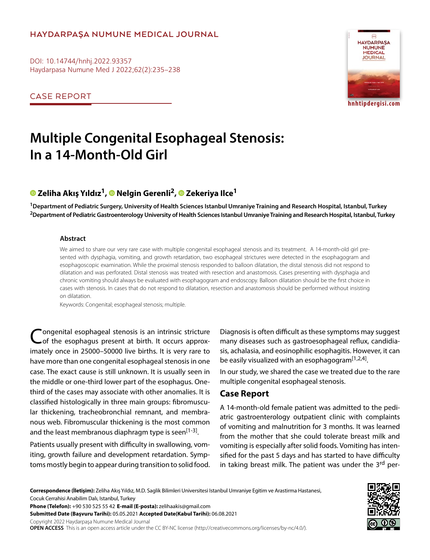## **HAYDARPAŞA NUMUNE MEDICAL JOURNAL**

DOI: 10.14744/hnhj.2022.93357 Haydarpasa Numune Med J 2022;62(2):235–238

CASE REPORT



# **Multiple Congenital Esophageal Stenosis: In a 14-Month-Old Girl**

# **Zeliha Akış Yıldız1,Nelgin Gerenli2,Zekeriya Ilce1**

**1Department of Pediatric Surgery, University of Health Sciences Istanbul Umraniye Training and Research Hospital, Istanbul, Turkey 2Department of Pediatric Gastroenterology University of Health Sciences Istanbul Umraniye Training and Research Hospital, Istanbul, Turkey**

#### **Abstract**

We aimed to share our very rare case with multiple congenital esophageal stenosis and its treatment. A 14-month-old girl presented with dysphagia, vomiting, and growth retardation, two esophageal strictures were detected in the esophagogram and esophagoscopic examination. While the proximal stenosis responded to balloon dilatation, the distal stenosis did not respond to dilatation and was perforated. Distal stenosis was treated with resection and anastomosis. Cases presenting with dysphagia and chronic vomiting should always be evaluated with esophagogram and endoscopy. Balloon dilatation should be the first choice in cases with stenosis. In cases that do not respond to dilatation, resection and anastomosis should be performed without insisting on dilatation.

Keywords: Congenital; esophageal stenosis; multiple.

Congenital esophageal stenosis is an intrinsic stricture<br>
Cof the esophagus present at birth. It occurs approximately once in 25000–50000 live births. It is very rare to have more than one congenital esophageal stenosis in one case. The exact cause is still unknown. It is usually seen in the middle or one-third lower part of the esophagus. Onethird of the cases may associate with other anomalies. It is classified histologically in three main groups: fibromuscular thickening, tracheobronchial remnant, and membranous web. Fibromuscular thickening is the most common and the least membranous diaphragm type is seen<sup>[1-3]</sup>.

Patients usually present with difficulty in swallowing, vomiting, growth failure and development retardation. Symptoms mostly begin to appear during transition to solid food. Diagnosis is often difficult as these symptoms may suggest many diseases such as gastroesophageal reflux, candidiasis, achalasia, and eosinophilic esophagitis. However, it can be easily visualized with an esophagogram $[1,2,4]$ .

In our study, we shared the case we treated due to the rare multiple congenital esophageal stenosis.

## **Case Report**

A 14-month-old female patient was admitted to the pediatric gastroenterology outpatient clinic with complaints of vomiting and malnutrition for 3 months. It was learned from the mother that she could tolerate breast milk and vomiting is especially after solid foods. Vomiting has intensified for the past 5 days and has started to have difficulty in taking breast milk. The patient was under the 3rd per-

**Correspondence (İletişim):** Zeliha Akış Yıldız, M.D. Saglik Bilimleri Universitesi Istanbul Umraniye Egitim ve Arastirma Hastanesi, Cocuk Cerrahisi Anabilim Dalı, Istanbul, Turkey

**Phone (Telefon):** +90 530 525 55 42 **E-mail (E-posta):** zelihaakis@gmail.com

**Submitted Date (Başvuru Tarihi):** 05.05.2021 **Accepted Date(Kabul Tarihi):** 06.08.2021

Copyright 2022 Haydarpaşa Numune Medical Journal

**OPEN ACCESS** This is an open access article under the CC BY-NC license (http://creativecommons.org/licenses/by-nc/4.0/).

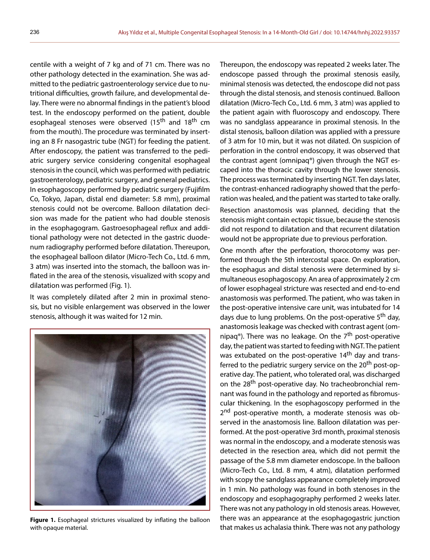centile with a weight of 7 kg and of 71 cm. There was no other pathology detected in the examination. She was admitted to the pediatric gastroenterology service due to nutritional difficulties, growth failure, and developmental delay. There were no abnormal findings in the patient's blood test. In the endoscopy performed on the patient, double esophageal stenoses were observed (15<sup>th</sup> and 18<sup>th</sup> cm from the mouth). The procedure was terminated by inserting an 8 Fr nasogastric tube (NGT) for feeding the patient. After endoscopy, the patient was transferred to the pediatric surgery service considering congenital esophageal stenosis in the council, which was performed with pediatric gastroenterology, pediatric surgery, and general pediatrics. In esophagoscopy performed by pediatric surgery (Fujifilm Co, Tokyo, Japan, distal end diameter: 5.8 mm), proximal stenosis could not be overcome. Balloon dilatation decision was made for the patient who had double stenosis in the esophagogram. Gastroesophageal reflux and additional pathology were not detected in the gastric duodenum radiography performed before dilatation. Thereupon, the esophageal balloon dilator (Micro-Tech Co., Ltd. 6 mm, 3 atm) was inserted into the stomach, the balloon was inflated in the area of the stenosis, visualized with scopy and dilatation was performed (Fig. 1).

It was completely dilated after 2 min in proximal stenosis, but no visible enlargement was observed in the lower stenosis, although it was waited for 12 min.



**Figure 1.** Esophageal strictures visualized by inflating the balloon with opaque material.

Thereupon, the endoscopy was repeated 2 weeks later. The endoscope passed through the proximal stenosis easily, minimal stenosis was detected, the endoscope did not pass through the distal stenosis, and stenosis continued. Balloon dilatation (Micro-Tech Co., Ltd. 6 mm, 3 atm) was applied to the patient again with fluoroscopy and endoscopy. There was no sandglass appearance in proximal stenosis. In the distal stenosis, balloon dilation was applied with a pressure of 3 atm for 10 min, but it was not dilated. On suspicion of perforation in the control endoscopy, it was observed that the contrast agent (omnipaq®) given through the NGT escaped into the thoracic cavity through the lower stenosis. The process was terminated by inserting NGT. Ten days later, the contrast-enhanced radiography showed that the perforation was healed, and the patient was started to take orally.

Resection anastomosis was planned, deciding that the stenosis might contain ectopic tissue, because the stenosis did not respond to dilatation and that recurrent dilatation would not be appropriate due to previous perforation.

One month after the perforation, thorocotomy was performed through the 5th intercostal space. On exploration, the esophagus and distal stenosis were determined by simultaneous esophagoscopy. An area of approximately 2 cm of lower esophageal stricture was resected and end-to-end anastomosis was performed. The patient, who was taken in the post-operative intensive care unit, was intubated for 14 days due to lung problems. On the post-operative 5<sup>th</sup> day, anastomosis leakage was checked with contrast agent (omnipaq®). There was no leakage. On the  $7<sup>th</sup>$  post-operative day, the patient was started to feeding with NGT. The patient was extubated on the post-operative 14<sup>th</sup> day and transferred to the pediatric surgery service on the 20<sup>th</sup> post-operative day. The patient, who tolerated oral, was discharged on the 28<sup>th</sup> post-operative day. No tracheobronchial remnant was found in the pathology and reported as fibromuscular thickening. In the esophagoscopy performed in the 2<sup>nd</sup> post-operative month, a moderate stenosis was observed in the anastomosis line. Balloon dilatation was performed. At the post-operative 3rd month, proximal stenosis was normal in the endoscopy, and a moderate stenosis was detected in the resection area, which did not permit the passage of the 5.8 mm diameter endoscope. In the balloon (Micro-Tech Co., Ltd. 8 mm, 4 atm), dilatation performed with scopy the sandglass appearance completely improved in 1 min. No pathology was found in both stenoses in the endoscopy and esophagography performed 2 weeks later. There was not any pathology in old stenosis areas. However, there was an appearance at the esophagogastric junction that makes us achalasia think. There was not any pathology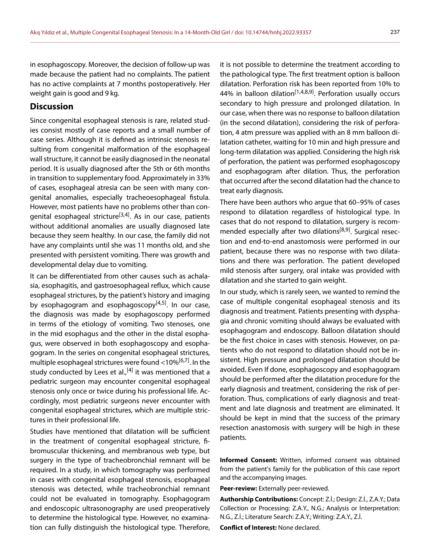in esophagoscopy. Moreover, the decision of follow-up was made because the patient had no complaints. The patient has no active complaints at 7 months postoperatively. Her weight gain is good and 9 kg.

### **Discussion**

Since congenital esophageal stenosis is rare, related studies consist mostly of case reports and a small number of case series. Although it is defined as intrinsic stenosis resulting from congenital malformation of the esophageal wall structure, it cannot be easily diagnosed in the neonatal period. It is usually diagnosed after the 5th or 6th months in transition to supplementary food. Approximately in 33% of cases, esophageal atresia can be seen with many congenital anomalies, especially tracheoesophageal fistula. However, most patients have no problems other than congenital esophageal stricture<sup>[3,4]</sup>. As in our case, patients without additional anomalies are usually diagnosed late because they seem healthy. In our case, the family did not have any complaints until she was 11 months old, and she presented with persistent vomiting. There was growth and developmental delay due to vomiting.

It can be differentiated from other causes such as achalasia, esophagitis, and gastroesophageal reflux, which cause esophageal strictures, by the patient's history and imaging by esophagogram and esophagoscopy $[4,5]$ . In our case, the diagnosis was made by esophagoscopy performed in terms of the etiology of vomiting. Two stenoses, one in the mid esophagus and the other in the distal esophagus, were observed in both esophagoscopy and esophagogram. In the series on congenital esophageal strictures, multiple esophageal strictures were found  $<10\%$ <sup>[6,7]</sup>. In the study conducted by Lees et al.,<sup>[4]</sup> it was mentioned that a pediatric surgeon may encounter congenital esophageal stenosis only once or twice during his professional life. Accordingly, most pediatric surgeons never encounter with congenital esophageal strictures, which are multiple strictures in their professional life.

Studies have mentioned that dilatation will be sufficient in the treatment of congenital esophageal stricture, fibromuscular thickening, and membranous web type, but surgery in the type of tracheobronchial remnant will be required. In a study, in which tomography was performed in cases with congenital esophageal stenosis, esophageal stenosis was detected, while tracheobronchial remnant could not be evaluated in tomography. Esophagogram and endoscopic ultrasonography are used preoperatively to determine the histological type. However, no examination can fully distinguish the histological type. Therefore, it is not possible to determine the treatment according to the pathological type. The first treatment option is balloon dilatation. Perforation risk has been reported from 10% to 44% in balloon dilation<sup>[1,4,8,9]</sup>. Perforation usually occurs secondary to high pressure and prolonged dilatation. In our case, when there was no response to balloon dilatation (in the second dilatation), considering the risk of perforation, 4 atm pressure was applied with an 8 mm balloon dilatation catheter, waiting for 10 min and high pressure and long-term dilatation was applied. Considering the high risk of perforation, the patient was performed esophagoscopy and esophagogram after dilation. Thus, the perforation that occurred after the second dilatation had the chance to treat early diagnosis.

There have been authors who argue that 60–95% of cases respond to dilatation regardless of histological type. In cases that do not respond to dilatation, surgery is recommended especially after two dilations<sup>[8,9]</sup>. Surgical resection and end-to-end anastomosis were performed in our patient, because there was no response with two dilatations and there was perforation. The patient developed mild stenosis after surgery, oral intake was provided with dilatation and she started to gain weight.

In our study, which is rarely seen, we wanted to remind the case of multiple congenital esophageal stenosis and its diagnosis and treatment. Patients presenting with dysphagia and chronic vomiting should always be evaluated with esophagogram and endoscopy. Balloon dilatation should be the first choice in cases with stenosis. However, on patients who do not respond to dilatation should not be insistent. High pressure and prolonged dilatation should be avoided. Even If done, esophagoscopy and esophagogram should be performed after the dilatation procedure for the early diagnosis and treatment, considering the risk of perforation. Thus, complications of early diagnosis and treatment and late diagnosis and treatment are eliminated. It should be kept in mind that the success of the primary resection anastomosis with surgery will be high in these patients.

**Informed Consent:** Written, informed consent was obtained from the patient's family for the publication of thís case report and the accompanying images.

**Peer-review:** Externally peer-reviewed.

**Authorship Contributions:** Concept: Z.İ.; Design: Z.İ., Z.A.Y.; Data Collection or Processing: Z.A.Y., N.G.; Analysis or Interpretation: N.G., Z.İ.; Literature Search: Z.A.Y.; Writing: Z.A.Y., Z.İ.

**Conflict of Interest:** None declared.